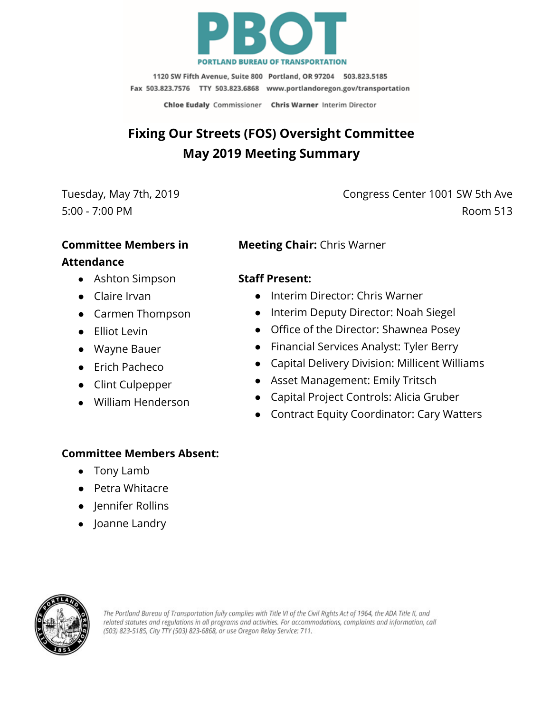

1120 SW Fifth Avenue, Suite 800 Portland, OR 97204 503.823.5185 Fax 503.823.7576 TTY 503.823.6868 www.portlandoregon.gov/transportation

Chloe Eudaly Commissioner Chris Warner Interim Director

# **Fixing Our Streets (FOS) Oversight Committee May 2019 Meeting Summary**

Tuesday, May 7th, 2019 5:00 - 7:00 PM

Congress Center 1001 SW 5th Ave Room 513

### **Committee Members in**

#### **Attendance**

- Ashton Simpson
- Claire Irvan
- Carmen Thompson
- Elliot Levin
- Wayne Bauer
- Erich Pacheco
- Clint Culpepper
- William Henderson

# **Meeting Chair:** Chris Warner

## **Staff Present:**

- Interim Director: Chris Warner
- Interim Deputy Director: Noah Siegel
- Office of the Director: Shawnea Posey
- Financial Services Analyst: Tyler Berry
- Capital Delivery Division: Millicent Williams
- Asset Management: Emily Tritsch
- Capital Project Controls: Alicia Gruber
- Contract Equity Coordinator: Cary Watters

#### **Committee Members Absent:**

- Tony Lamb
- Petra Whitacre
- **Iennifer Rollins**
- Joanne Landry



The Portland Bureau of Transportation fully complies with Title VI of the Civil Rights Act of 1964, the ADA Title II, and related statutes and regulations in all programs and activities. For accommodations, complaints and information, call (503) 823-5185, City TTY (503) 823-6868, or use Oregon Relay Service: 711.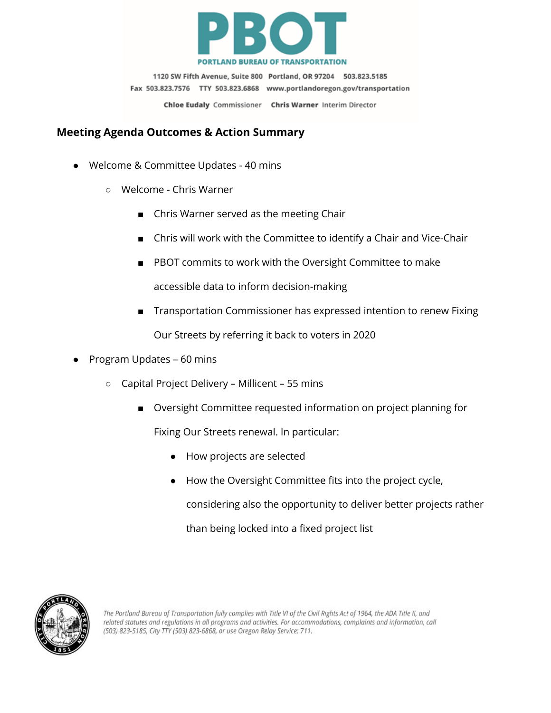

1120 SW Fifth Avenue, Suite 800 Portland, OR 97204 503.823.5185 Fax 503.823.7576 TTY 503.823.6868 www.portlandoregon.gov/transportation Chloe Eudaly Commissioner Chris Warner Interim Director

**Meeting Agenda Outcomes & Action Summary**

- Welcome & Committee Updates 40 mins
	- Welcome Chris Warner
		- Chris Warner served as the meeting Chair
		- Chris will work with the Committee to identify a Chair and Vice-Chair
		- PBOT commits to work with the Oversight Committee to make

accessible data to inform decision-making

- Transportation Commissioner has expressed intention to renew Fixing Our Streets by referring it back to voters in 2020
- Program Updates 60 mins
	- Capital Project Delivery Millicent 55 mins
		- Oversight Committee requested information on project planning for

Fixing Our Streets renewal. In particular:

- How projects are selected
- How the Oversight Committee fits into the project cycle,

considering also the opportunity to deliver better projects rather than being locked into a fixed project list

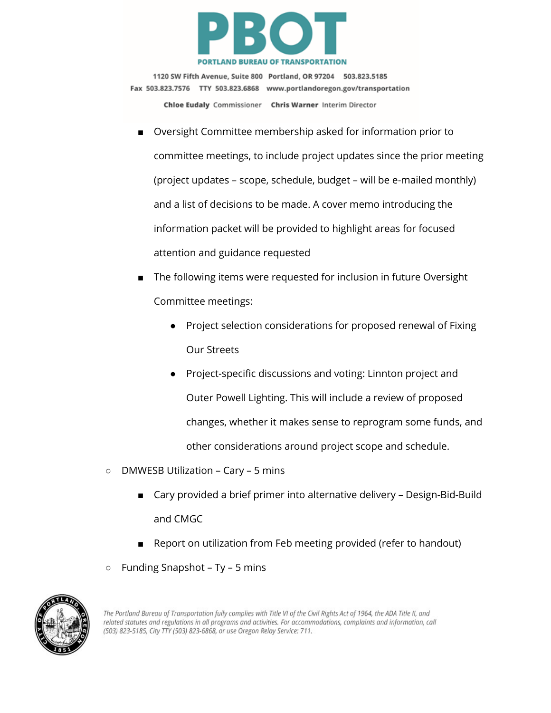

1120 SW Fifth Avenue, Suite 800 Portland, OR 97204 503.823.5185 Fax 503.823.7576 TTY 503.823.6868 www.portlandoregon.gov/transportation Chloe Eudaly Commissioner Chris Warner Interim Director

- Oversight Committee membership asked for information prior to committee meetings, to include project updates since the prior meeting (project updates – scope, schedule, budget – will be e-mailed monthly) and a list of decisions to be made. A cover memo introducing the information packet will be provided to highlight areas for focused attention and guidance requested
- The following items were requested for inclusion in future Oversight Committee meetings:
	- Project selection considerations for proposed renewal of Fixing Our Streets
	- Project-specific discussions and voting: Linnton project and Outer Powell Lighting. This will include a review of proposed changes, whether it makes sense to reprogram some funds, and other considerations around project scope and schedule.
- DMWESB Utilization Cary 5 mins
	- Cary provided a brief primer into alternative delivery Design-Bid-Build and CMGC
	- Report on utilization from Feb meeting provided (refer to handout)
- Funding Snapshot Ty 5 mins



The Portland Bureau of Transportation fully complies with Title VI of the Civil Rights Act of 1964, the ADA Title II, and related statutes and regulations in all programs and activities. For accommodations, complaints and information, call (503) 823-5185, City TTY (503) 823-6868, or use Oregon Relay Service: 711.